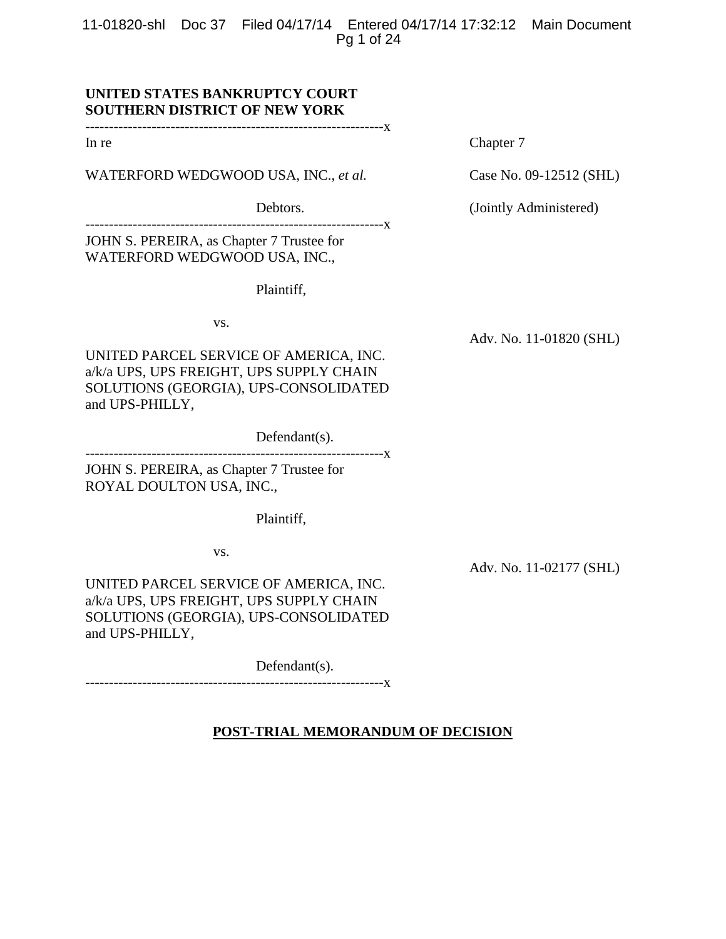11-01820-shl Doc 37 Filed 04/17/14 Entered 04/17/14 17:32:12 Main Document Pg 1 of 24

# **UNITED STATES BANKRUPTCY COURT SOUTHERN DISTRICT OF NEW YORK**

---------------------------------------------------------------x

WATERFORD WEDGWOOD USA, INC., *et al.* Case No. 09-12512 (SHL)

---------------------------------------------------------------x JOHN S. PEREIRA, as Chapter 7 Trustee for

WATERFORD WEDGWOOD USA, INC.,

Plaintiff,

vs.

UNITED PARCEL SERVICE OF AMERICA, INC. a/k/a UPS, UPS FREIGHT, UPS SUPPLY CHAIN SOLUTIONS (GEORGIA), UPS-CONSOLIDATED and UPS-PHILLY,

Defendant(s).

---------------------------------------------------------------x

JOHN S. PEREIRA, as Chapter 7 Trustee for ROYAL DOULTON USA, INC.,

Plaintiff,

vs.

UNITED PARCEL SERVICE OF AMERICA, INC. a/k/a UPS, UPS FREIGHT, UPS SUPPLY CHAIN SOLUTIONS (GEORGIA), UPS-CONSOLIDATED and UPS-PHILLY,

Defendant(s).

---------------------------------------------------------------x

In re Chapter 7

Debtors. (Jointly Administered)

Adv. No. 11-01820 (SHL)

Adv. No. 11-02177 (SHL)

**POST-TRIAL MEMORANDUM OF DECISION**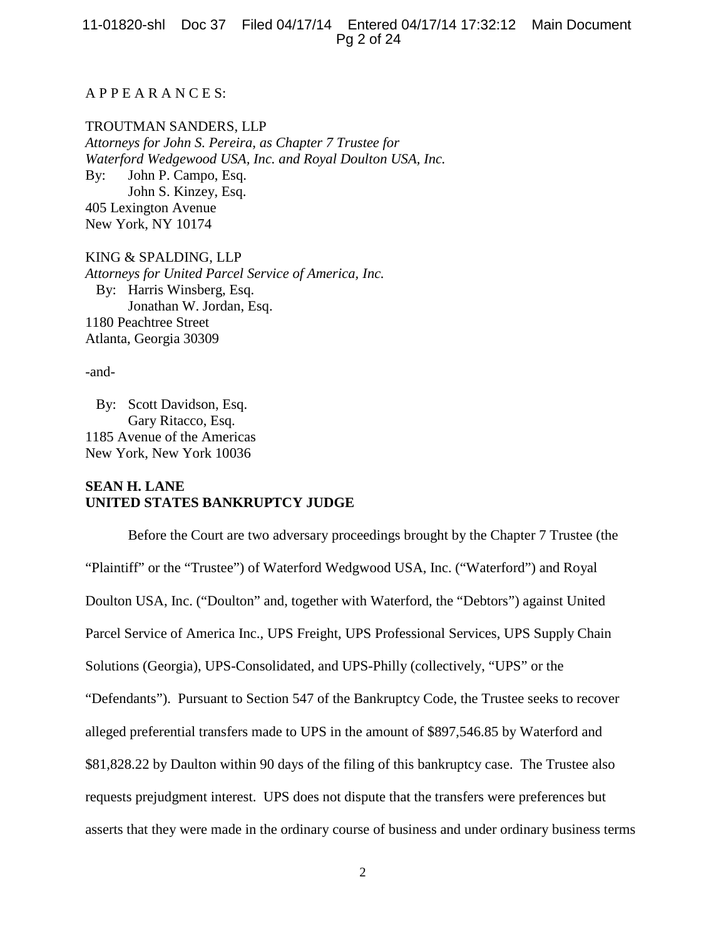11-01820-shl Doc 37 Filed 04/17/14 Entered 04/17/14 17:32:12 Main Document Pg 2 of 24

# A P P E A R A N C E S:

#### TROUTMAN SANDERS, LLP

*Attorneys for John S. Pereira, as Chapter 7 Trustee for Waterford Wedgewood USA, Inc. and Royal Doulton USA, Inc.*  By: John P. Campo, Esq. John S. Kinzey, Esq. 405 Lexington Avenue New York, NY 10174

KING & SPALDING, LLP *Attorneys for United Parcel Service of America, Inc.* By: Harris Winsberg, Esq. Jonathan W. Jordan, Esq. 1180 Peachtree Street Atlanta, Georgia 30309

-and-

 By: Scott Davidson, Esq. Gary Ritacco, Esq. 1185 Avenue of the Americas New York, New York 10036

# **SEAN H. LANE UNITED STATES BANKRUPTCY JUDGE**

Before the Court are two adversary proceedings brought by the Chapter 7 Trustee (the "Plaintiff" or the "Trustee") of Waterford Wedgwood USA, Inc. ("Waterford") and Royal Doulton USA, Inc. ("Doulton" and, together with Waterford, the "Debtors") against United Parcel Service of America Inc., UPS Freight, UPS Professional Services, UPS Supply Chain Solutions (Georgia), UPS-Consolidated, and UPS-Philly (collectively, "UPS" or the "Defendants"). Pursuant to Section 547 of the Bankruptcy Code, the Trustee seeks to recover alleged preferential transfers made to UPS in the amount of \$897,546.85 by Waterford and \$81,828.22 by Daulton within 90 days of the filing of this bankruptcy case. The Trustee also requests prejudgment interest. UPS does not dispute that the transfers were preferences but asserts that they were made in the ordinary course of business and under ordinary business terms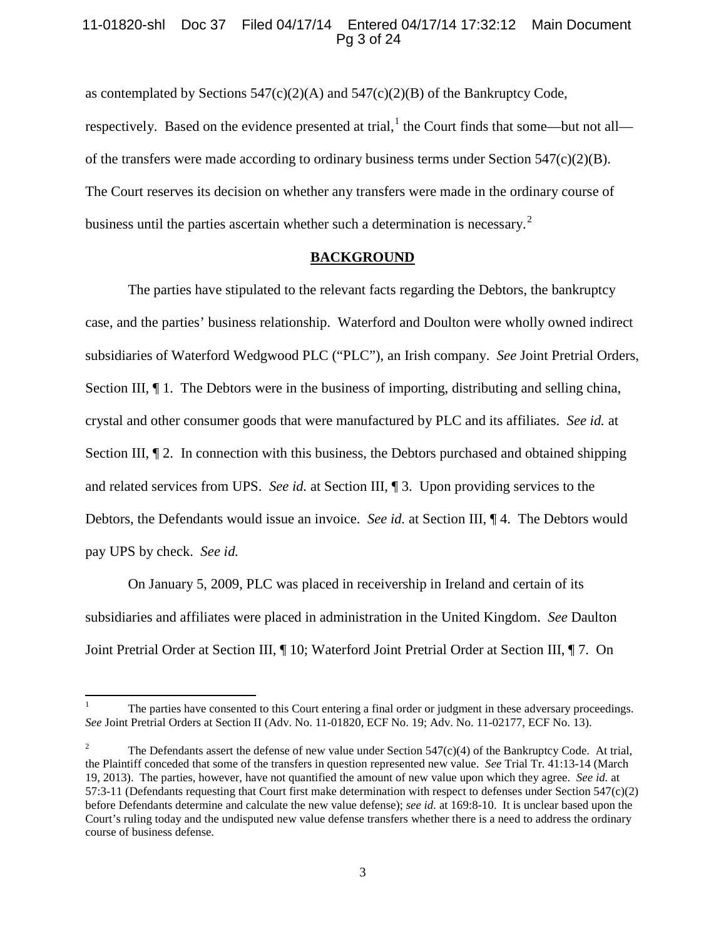# 11-01820-shl Doc 37 Filed 04/17/14 Entered 04/17/14 17:32:12 Main Document Pg 3 of 24

as contemplated by Sections  $547(c)(2)(A)$  and  $547(c)(2)(B)$  of the Bankruptcy Code, respectively. Based on the evidence presented at trial,<sup>[1](#page-2-0)</sup> the Court finds that some—but not all of the transfers were made according to ordinary business terms under Section 547(c)(2)(B). The Court reserves its decision on whether any transfers were made in the ordinary course of business until the parties ascertain whether such a determination is necessary.<sup>[2](#page-2-1)</sup>

### **BACKGROUND**

The parties have stipulated to the relevant facts regarding the Debtors, the bankruptcy case, and the parties' business relationship. Waterford and Doulton were wholly owned indirect subsidiaries of Waterford Wedgwood PLC ("PLC"), an Irish company. *See* Joint Pretrial Orders, Section III,  $\P$  1. The Debtors were in the business of importing, distributing and selling china, crystal and other consumer goods that were manufactured by PLC and its affiliates. *See id.* at Section III,  $\P$  2. In connection with this business, the Debtors purchased and obtained shipping and related services from UPS. *See id.* at Section III, ¶ 3. Upon providing services to the Debtors, the Defendants would issue an invoice. *See id.* at Section III, ¶ 4. The Debtors would pay UPS by check. *See id.*

On January 5, 2009, PLC was placed in receivership in Ireland and certain of its subsidiaries and affiliates were placed in administration in the United Kingdom. *See* Daulton Joint Pretrial Order at Section III, ¶ 10; Waterford Joint Pretrial Order at Section III, ¶ 7. On

<span id="page-2-0"></span><sup>1</sup> The parties have consented to this Court entering a final order or judgment in these adversary proceedings. *See* Joint Pretrial Orders at Section II (Adv. No. 11-01820, ECF No. 19; Adv. No. 11-02177, ECF No. 13).

<span id="page-2-1"></span>The Defendants assert the defense of new value under Section  $547(c)(4)$  of the Bankruptcy Code. At trial, the Plaintiff conceded that some of the transfers in question represented new value. *See* Trial Tr. 41:13-14 (March 19, 2013). The parties, however, have not quantified the amount of new value upon which they agree. *See id.* at 57:3-11 (Defendants requesting that Court first make determination with respect to defenses under Section 547(c)(2) before Defendants determine and calculate the new value defense); *see id.* at 169:8-10. It is unclear based upon the Court's ruling today and the undisputed new value defense transfers whether there is a need to address the ordinary course of business defense.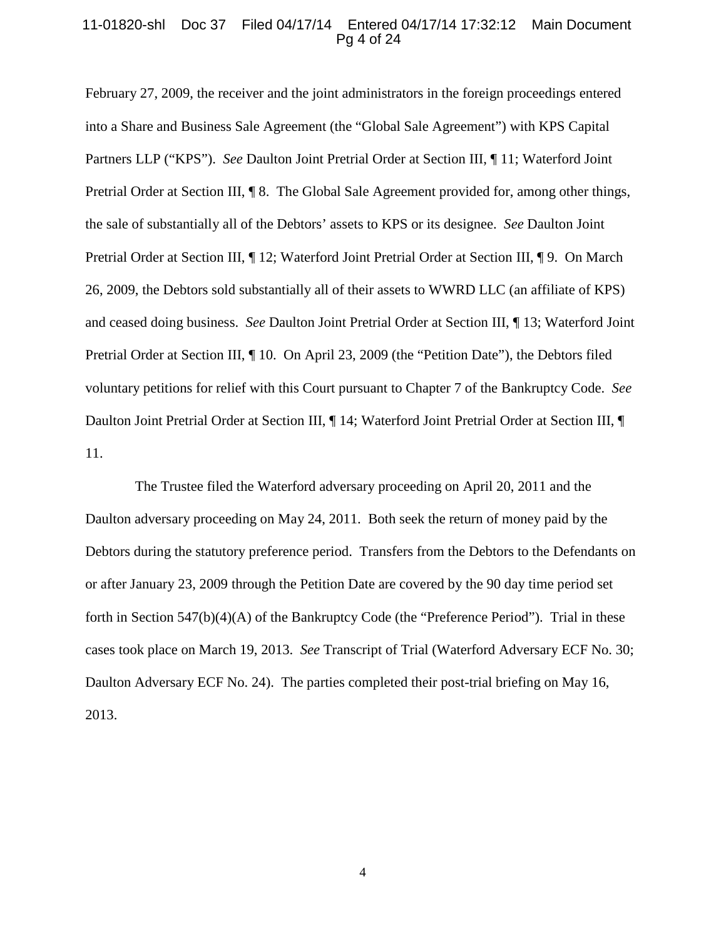#### 11-01820-shl Doc 37 Filed 04/17/14 Entered 04/17/14 17:32:12 Main Document Pg 4 of 24

February 27, 2009, the receiver and the joint administrators in the foreign proceedings entered into a Share and Business Sale Agreement (the "Global Sale Agreement") with KPS Capital Partners LLP ("KPS"). *See* Daulton Joint Pretrial Order at Section III, ¶ 11; Waterford Joint Pretrial Order at Section III, ¶ 8. The Global Sale Agreement provided for, among other things, the sale of substantially all of the Debtors' assets to KPS or its designee. *See* Daulton Joint Pretrial Order at Section III, ¶ 12; Waterford Joint Pretrial Order at Section III, ¶ 9. On March 26, 2009, the Debtors sold substantially all of their assets to WWRD LLC (an affiliate of KPS) and ceased doing business. *See* Daulton Joint Pretrial Order at Section III, ¶ 13; Waterford Joint Pretrial Order at Section III, ¶ 10. On April 23, 2009 (the "Petition Date"), the Debtors filed voluntary petitions for relief with this Court pursuant to Chapter 7 of the Bankruptcy Code. *See* Daulton Joint Pretrial Order at Section III,  $\P$  14; Waterford Joint Pretrial Order at Section III,  $\P$ 11.

 The Trustee filed the Waterford adversary proceeding on April 20, 2011 and the Daulton adversary proceeding on May 24, 2011. Both seek the return of money paid by the Debtors during the statutory preference period. Transfers from the Debtors to the Defendants on or after January 23, 2009 through the Petition Date are covered by the 90 day time period set forth in Section  $547(b)(4)(A)$  of the Bankruptcy Code (the "Preference Period"). Trial in these cases took place on March 19, 2013. *See* Transcript of Trial (Waterford Adversary ECF No. 30; Daulton Adversary ECF No. 24). The parties completed their post-trial briefing on May 16, 2013.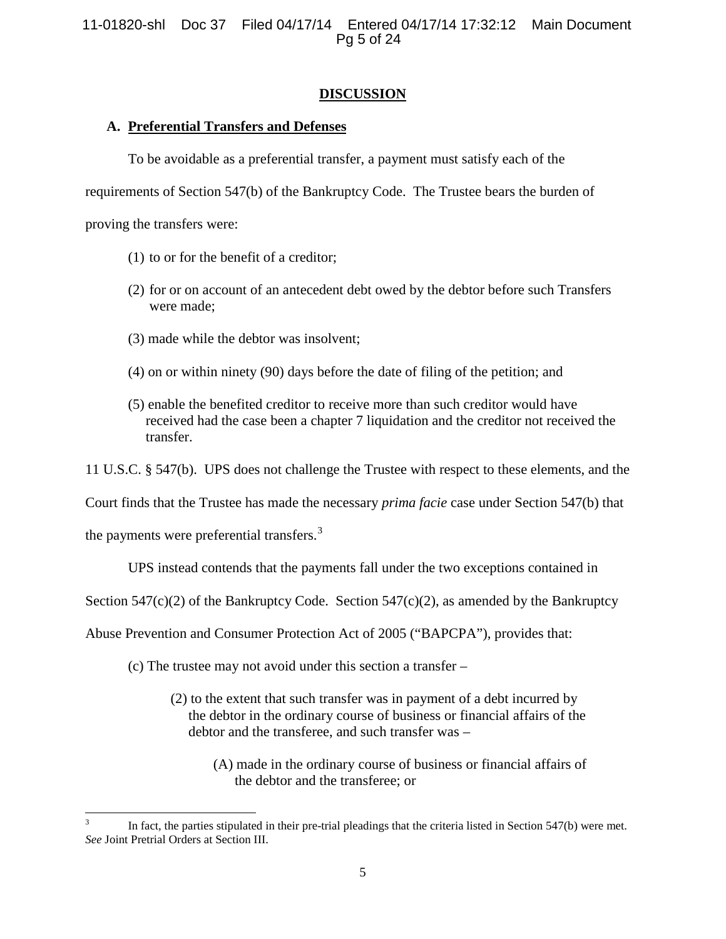11-01820-shl Doc 37 Filed 04/17/14 Entered 04/17/14 17:32:12 Main Document Pg 5 of 24

# **DISCUSSION**

# **A. Preferential Transfers and Defenses**

To be avoidable as a preferential transfer, a payment must satisfy each of the

requirements of Section 547(b) of the Bankruptcy Code. The Trustee bears the burden of

proving the transfers were:

- (1) to or for the benefit of a creditor;
- (2) for or on account of an antecedent debt owed by the debtor before such Transfers were made;
- (3) made while the debtor was insolvent;
- (4) on or within ninety (90) days before the date of filing of the petition; and
- (5) enable the benefited creditor to receive more than such creditor would have received had the case been a chapter 7 liquidation and the creditor not received the transfer.

11 U.S.C. § 547(b). UPS does not challenge the Trustee with respect to these elements, and the

Court finds that the Trustee has made the necessary *prima facie* case under Section 547(b) that

the payments were preferential transfers.<sup>[3](#page-4-0)</sup>

UPS instead contends that the payments fall under the two exceptions contained in

Section 547(c)(2) of the Bankruptcy Code. Section 547(c)(2), as amended by the Bankruptcy

Abuse Prevention and Consumer Protection Act of 2005 ("BAPCPA"), provides that:

(c) The trustee may not avoid under this section a transfer –

- (2) to the extent that such transfer was in payment of a debt incurred by the debtor in the ordinary course of business or financial affairs of the debtor and the transferee, and such transfer was –
	- (A) made in the ordinary course of business or financial affairs of the debtor and the transferee; or

<span id="page-4-0"></span>In fact, the parties stipulated in their pre-trial pleadings that the criteria listed in Section 547(b) were met. *See* Joint Pretrial Orders at Section III.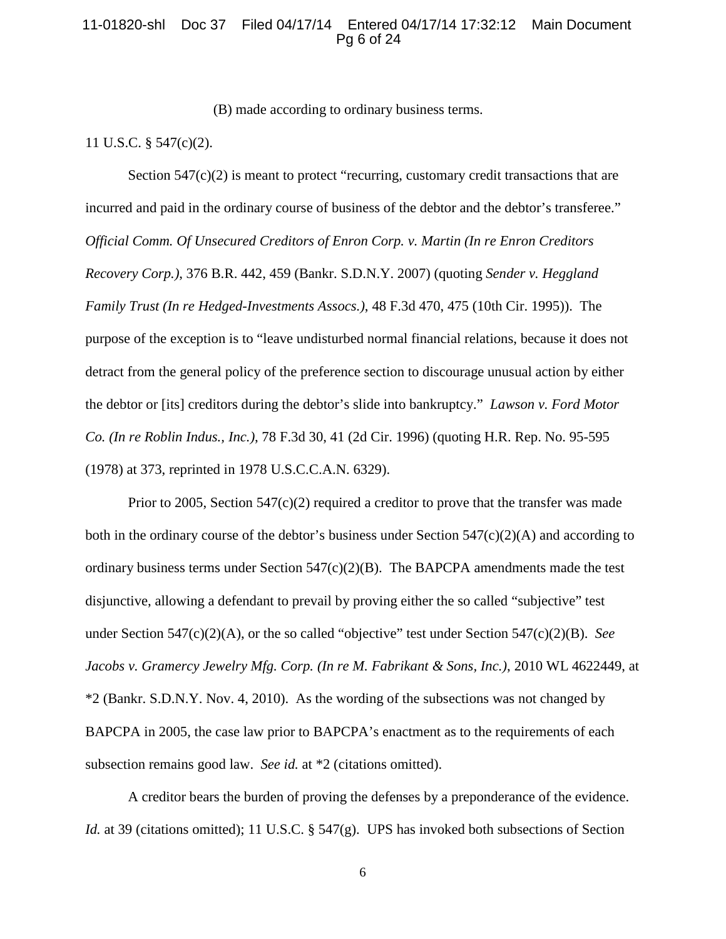### 11-01820-shl Doc 37 Filed 04/17/14 Entered 04/17/14 17:32:12 Main Document Pg 6 of 24

(B) made according to ordinary business terms.

11 U.S.C. § 547(c)(2).

Section  $547(c)(2)$  is meant to protect "recurring, customary credit transactions that are incurred and paid in the ordinary course of business of the debtor and the debtor's transferee." *Official Comm. Of Unsecured Creditors of Enron Corp. v. Martin (In re Enron Creditors Recovery Corp.)*, 376 B.R. 442, 459 (Bankr. S.D.N.Y. 2007) (quoting *Sender v. Heggland Family Trust (In re Hedged-Investments Assocs.)*, 48 F.3d 470, 475 (10th Cir. 1995)). The purpose of the exception is to "leave undisturbed normal financial relations, because it does not detract from the general policy of the preference section to discourage unusual action by either the debtor or [its] creditors during the debtor's slide into bankruptcy." *Lawson v. Ford Motor Co. (In re Roblin Indus., Inc.)*, 78 F.3d 30, 41 (2d Cir. 1996) (quoting H.R. Rep. No. 95-595 (1978) at 373, reprinted in 1978 U.S.C.C.A.N. 6329).

Prior to 2005, Section  $547(c)(2)$  required a creditor to prove that the transfer was made both in the ordinary course of the debtor's business under Section  $547(c)(2)(A)$  and according to ordinary business terms under Section  $547(c)(2)(B)$ . The BAPCPA amendments made the test disjunctive, allowing a defendant to prevail by proving either the so called "subjective" test under Section 547(c)(2)(A), or the so called "objective" test under Section 547(c)(2)(B). *See Jacobs v. Gramercy Jewelry Mfg. Corp. (In re M. Fabrikant & Sons, Inc.)*, 2010 WL 4622449, at \*2 (Bankr. S.D.N.Y. Nov. 4, 2010). As the wording of the subsections was not changed by BAPCPA in 2005, the case law prior to BAPCPA's enactment as to the requirements of each subsection remains good law. *See id.* at \*2 (citations omitted).

A creditor bears the burden of proving the defenses by a preponderance of the evidence. *Id.* at 39 (citations omitted); 11 U.S.C. § 547(g). UPS has invoked both subsections of Section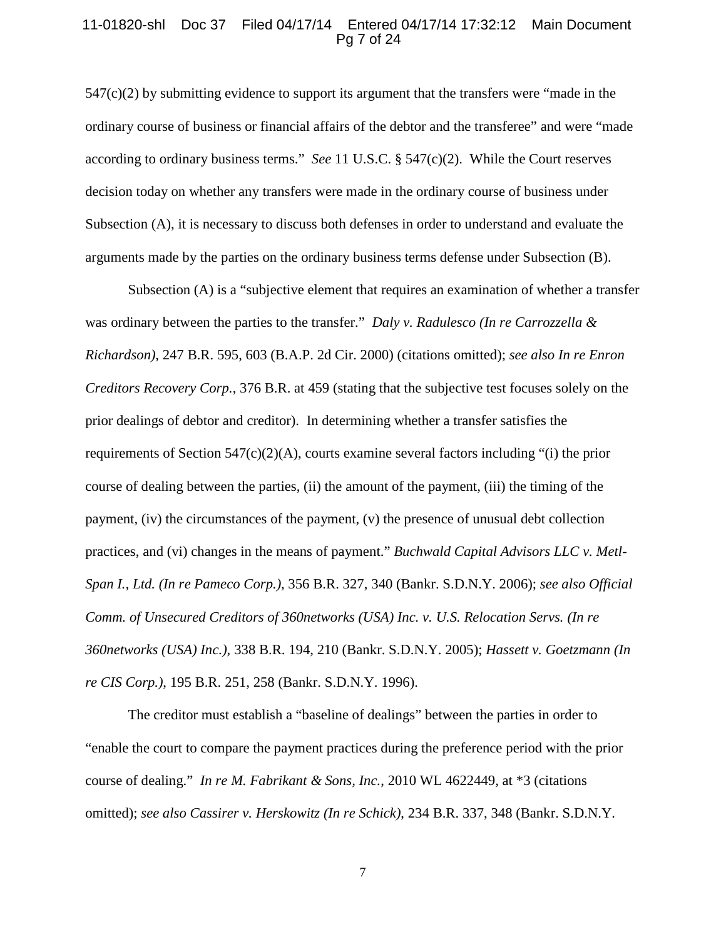#### 11-01820-shl Doc 37 Filed 04/17/14 Entered 04/17/14 17:32:12 Main Document Pg 7 of 24

 $547(c)(2)$  by submitting evidence to support its argument that the transfers were "made in the ordinary course of business or financial affairs of the debtor and the transferee" and were "made according to ordinary business terms." *See* 11 U.S.C. § 547(c)(2). While the Court reserves decision today on whether any transfers were made in the ordinary course of business under Subsection (A), it is necessary to discuss both defenses in order to understand and evaluate the arguments made by the parties on the ordinary business terms defense under Subsection (B).

Subsection (A) is a "subjective element that requires an examination of whether a transfer was ordinary between the parties to the transfer." *Daly v. Radulesco (In re Carrozzella & Richardson)*, 247 B.R. 595, 603 (B.A.P. 2d Cir. 2000) (citations omitted); *see also In re Enron Creditors Recovery Corp.*, 376 B.R. at 459 (stating that the subjective test focuses solely on the prior dealings of debtor and creditor). In determining whether a transfer satisfies the requirements of Section 547(c)(2)(A), courts examine several factors including "(i) the prior course of dealing between the parties, (ii) the amount of the payment, (iii) the timing of the payment,  $(iv)$  the circumstances of the payment,  $(v)$  the presence of unusual debt collection practices, and (vi) changes in the means of payment." *Buchwald Capital Advisors LLC v. Metl-Span I., Ltd. (In re Pameco Corp.)*, 356 B.R. 327, 340 (Bankr. S.D.N.Y. 2006); *see also Official Comm. of Unsecured Creditors of 360networks (USA) Inc. v. U.S. Relocation Servs. (In re 360networks (USA) Inc.)*, 338 B.R. 194, 210 (Bankr. S.D.N.Y. 2005); *Hassett v. Goetzmann (In re CIS Corp.)*, 195 B.R. 251, 258 (Bankr. S.D.N.Y. 1996).

The creditor must establish a "baseline of dealings" between the parties in order to "enable the court to compare the payment practices during the preference period with the prior course of dealing." *In re M. Fabrikant & Sons, Inc.*, 2010 WL 4622449, at \*3 (citations omitted); *see also Cassirer v. Herskowitz (In re Schick)*, 234 B.R. 337, 348 (Bankr. S.D.N.Y.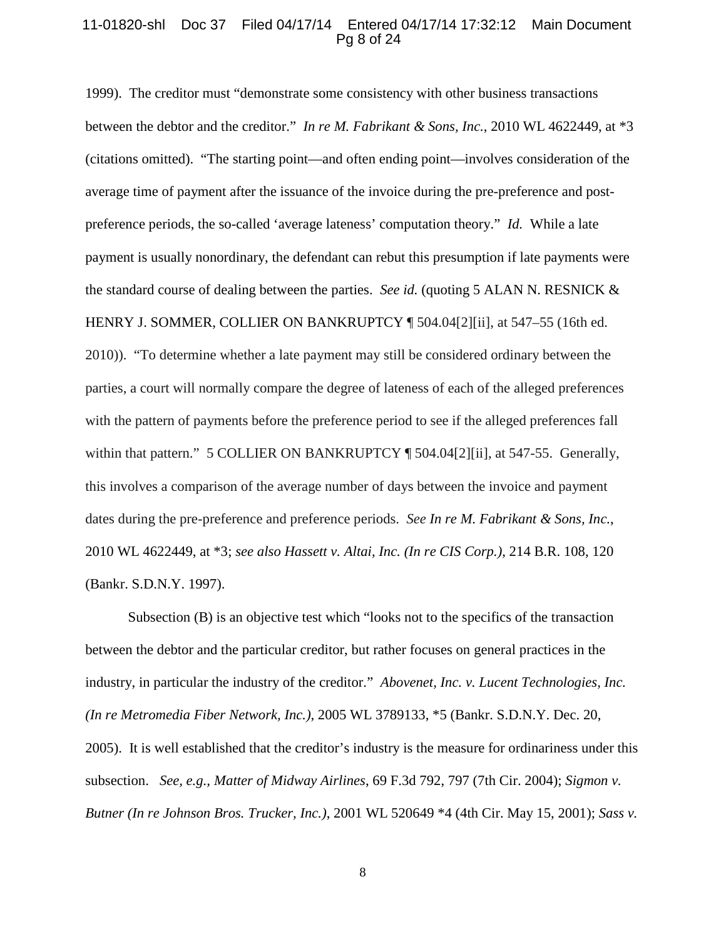### 11-01820-shl Doc 37 Filed 04/17/14 Entered 04/17/14 17:32:12 Main Document Pg 8 of 24

1999). The creditor must "demonstrate some consistency with other business transactions between the debtor and the creditor." *In re M. Fabrikant & Sons, Inc.*, 2010 WL 4622449, at \*3 (citations omitted). "The starting point—and often ending point—involves consideration of the average time of payment after the issuance of the invoice during the pre-preference and postpreference periods, the so-called 'average lateness' computation theory." *Id.* While a late payment is usually nonordinary, the defendant can rebut this presumption if late payments were the standard course of dealing between the parties. *See id.* (quoting 5 ALAN N. RESNICK & HENRY J. SOMMER, COLLIER ON BANKRUPTCY ¶ 504.04[2][ii], at 547–55 (16th ed. 2010)). "To determine whether a late payment may still be considered ordinary between the parties, a court will normally compare the degree of lateness of each of the alleged preferences with the pattern of payments before the preference period to see if the alleged preferences fall within that pattern." 5 COLLIER ON BANKRUPTCY ¶ 504.04[2][ii], at 547-55. Generally, this involves a comparison of the average number of days between the invoice and payment dates during the pre-preference and preference periods. *See In re M. Fabrikant & Sons, Inc.*, 2010 WL 4622449, at \*3; *see also Hassett v. Altai, Inc. (In re CIS Corp.)*, 214 B.R. 108, 120 (Bankr. S.D.N.Y. 1997).

Subsection (B) is an objective test which "looks not to the specifics of the transaction between the debtor and the particular creditor, but rather focuses on general practices in the industry, in particular the industry of the creditor." *Abovenet, Inc. v. Lucent Technologies, Inc. (In re Metromedia Fiber Network, Inc.)*, 2005 WL 3789133, \*5 (Bankr. S.D.N.Y. Dec. 20, 2005). It is well established that the creditor's industry is the measure for ordinariness under this subsection. *See, e.g., Matter of Midway Airlines*, 69 F.3d 792, 797 (7th Cir. 2004); *Sigmon v. Butner (In re Johnson Bros. Trucker, Inc.)*, 2001 WL 520649 \*4 (4th Cir. May 15, 2001); *Sass v.*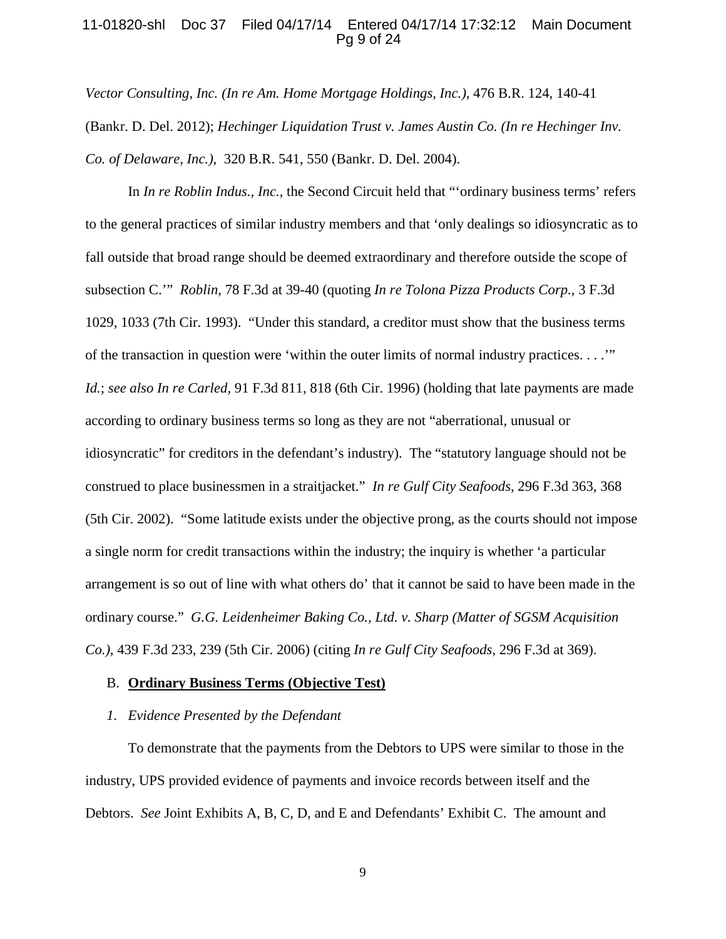### 11-01820-shl Doc 37 Filed 04/17/14 Entered 04/17/14 17:32:12 Main Document Pg 9 of 24

*Vector Consulting, Inc. (In re Am. Home Mortgage Holdings, Inc.),* 476 B.R. 124, 140-41 (Bankr. D. Del. 2012); *Hechinger Liquidation Trust v. James Austin Co. (In re Hechinger Inv. Co. of Delaware, Inc.),* 320 B.R. 541, 550 (Bankr. D. Del. 2004).

In *In re Roblin Indus., Inc.*, the Second Circuit held that "'ordinary business terms' refers to the general practices of similar industry members and that 'only dealings so idiosyncratic as to fall outside that broad range should be deemed extraordinary and therefore outside the scope of subsection C.'" *Roblin*, 78 F.3d at 39-40 (quoting *In re Tolona Pizza Products Corp.,* 3 F.3d 1029, 1033 (7th Cir. 1993). "Under this standard, a creditor must show that the business terms of the transaction in question were 'within the outer limits of normal industry practices. . . .'" *Id.*; *see also In re Carled,* 91 F.3d 811, 818 (6th Cir. 1996) (holding that late payments are made according to ordinary business terms so long as they are not "aberrational, unusual or idiosyncratic" for creditors in the defendant's industry). The "statutory language should not be construed to place businessmen in a straitjacket." *In re Gulf City Seafoods*, 296 F.3d 363, 368 (5th Cir. 2002). "Some latitude exists under the objective prong, as the courts should not impose a single norm for credit transactions within the industry; the inquiry is whether 'a particular arrangement is so out of line with what others do' that it cannot be said to have been made in the ordinary course." *G.G. Leidenheimer Baking Co., Ltd. v. Sharp (Matter of SGSM Acquisition Co.)*, 439 F.3d 233, 239 (5th Cir. 2006) (citing *In re Gulf City Seafoods*, 296 F.3d at 369).

#### B. **Ordinary Business Terms (Objective Test)**

### *1. Evidence Presented by the Defendant*

To demonstrate that the payments from the Debtors to UPS were similar to those in the industry, UPS provided evidence of payments and invoice records between itself and the Debtors. *See* Joint Exhibits A, B, C, D, and E and Defendants' Exhibit C. The amount and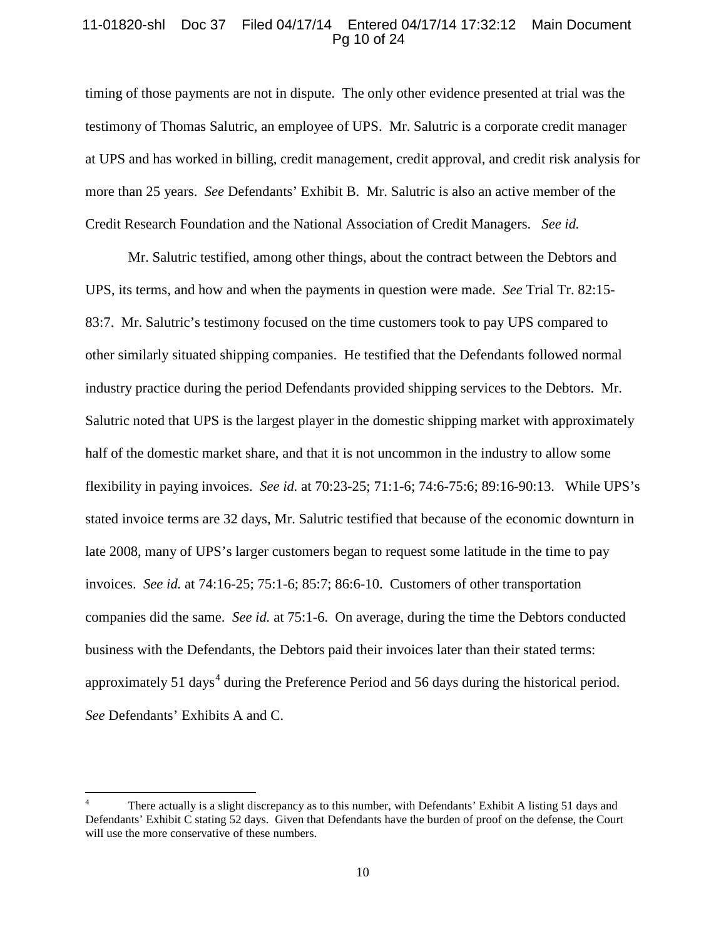# 11-01820-shl Doc 37 Filed 04/17/14 Entered 04/17/14 17:32:12 Main Document Pg 10 of 24

timing of those payments are not in dispute. The only other evidence presented at trial was the testimony of Thomas Salutric, an employee of UPS. Mr. Salutric is a corporate credit manager at UPS and has worked in billing, credit management, credit approval, and credit risk analysis for more than 25 years. *See* Defendants' Exhibit B. Mr. Salutric is also an active member of the Credit Research Foundation and the National Association of Credit Managers. *See id.*

Mr. Salutric testified, among other things, about the contract between the Debtors and UPS, its terms, and how and when the payments in question were made. *See* Trial Tr. 82:15- 83:7. Mr. Salutric's testimony focused on the time customers took to pay UPS compared to other similarly situated shipping companies. He testified that the Defendants followed normal industry practice during the period Defendants provided shipping services to the Debtors. Mr. Salutric noted that UPS is the largest player in the domestic shipping market with approximately half of the domestic market share, and that it is not uncommon in the industry to allow some flexibility in paying invoices. *See id.* at 70:23-25; 71:1-6; 74:6-75:6; 89:16-90:13.While UPS's stated invoice terms are 32 days, Mr. Salutric testified that because of the economic downturn in late 2008, many of UPS's larger customers began to request some latitude in the time to pay invoices. *See id.* at 74:16-25; 75:1-6; 85:7; 86:6-10. Customers of other transportation companies did the same. *See id.* at 75:1-6. On average, during the time the Debtors conducted business with the Defendants, the Debtors paid their invoices later than their stated terms: approximately 51 days<sup>[4](#page-9-0)</sup> during the Preference Period and 56 days during the historical period. *See* Defendants' Exhibits A and C.

<span id="page-9-0"></span>There actually is a slight discrepancy as to this number, with Defendants' Exhibit A listing 51 days and Defendants' Exhibit C stating 52 days. Given that Defendants have the burden of proof on the defense, the Court will use the more conservative of these numbers.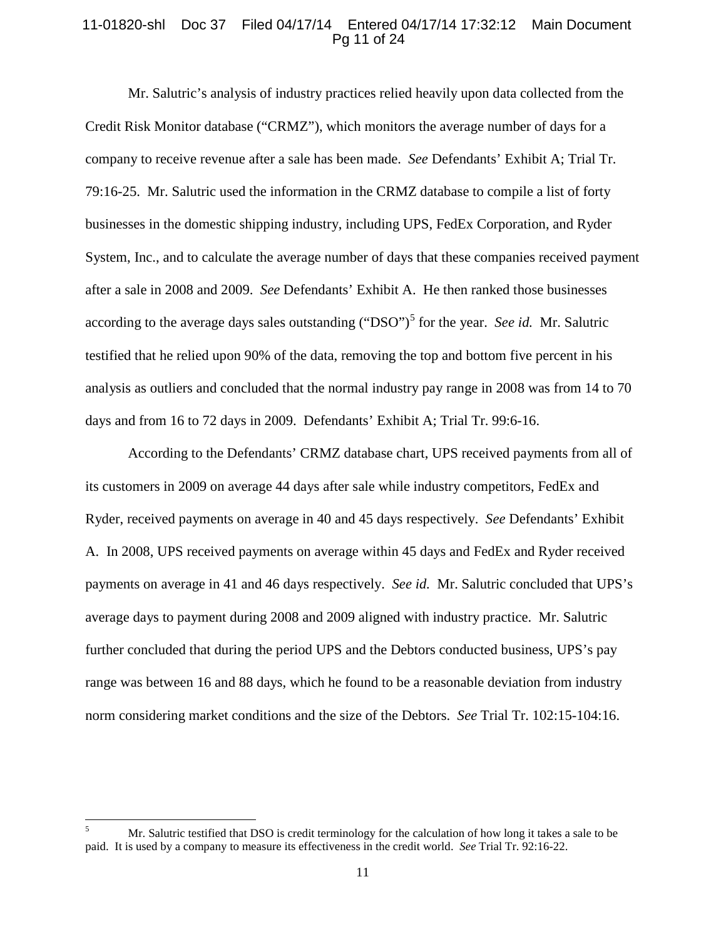## 11-01820-shl Doc 37 Filed 04/17/14 Entered 04/17/14 17:32:12 Main Document Pg 11 of 24

Mr. Salutric's analysis of industry practices relied heavily upon data collected from the Credit Risk Monitor database ("CRMZ"), which monitors the average number of days for a company to receive revenue after a sale has been made. *See* Defendants' Exhibit A; Trial Tr. 79:16-25. Mr. Salutric used the information in the CRMZ database to compile a list of forty businesses in the domestic shipping industry, including UPS, FedEx Corporation, and Ryder System, Inc., and to calculate the average number of days that these companies received payment after a sale in 2008 and 2009. *See* Defendants' Exhibit A. He then ranked those businesses according to the average days sales outstanding ("DSO")<sup>[5](#page-10-0)</sup> for the year. *See id.* Mr. Salutric testified that he relied upon 90% of the data, removing the top and bottom five percent in his analysis as outliers and concluded that the normal industry pay range in 2008 was from 14 to 70 days and from 16 to 72 days in 2009. Defendants' Exhibit A; Trial Tr. 99:6-16.

According to the Defendants' CRMZ database chart, UPS received payments from all of its customers in 2009 on average 44 days after sale while industry competitors, FedEx and Ryder, received payments on average in 40 and 45 days respectively. *See* Defendants' Exhibit A. In 2008, UPS received payments on average within 45 days and FedEx and Ryder received payments on average in 41 and 46 days respectively. *See id.* Mr. Salutric concluded that UPS's average days to payment during 2008 and 2009 aligned with industry practice. Mr. Salutric further concluded that during the period UPS and the Debtors conducted business, UPS's pay range was between 16 and 88 days, which he found to be a reasonable deviation from industry norm considering market conditions and the size of the Debtors. *See* Trial Tr. 102:15-104:16.

<span id="page-10-0"></span><sup>&</sup>lt;sup>5</sup> Mr. Salutric testified that DSO is credit terminology for the calculation of how long it takes a sale to be paid. It is used by a company to measure its effectiveness in the credit world. *See* Trial Tr. 92:16-22.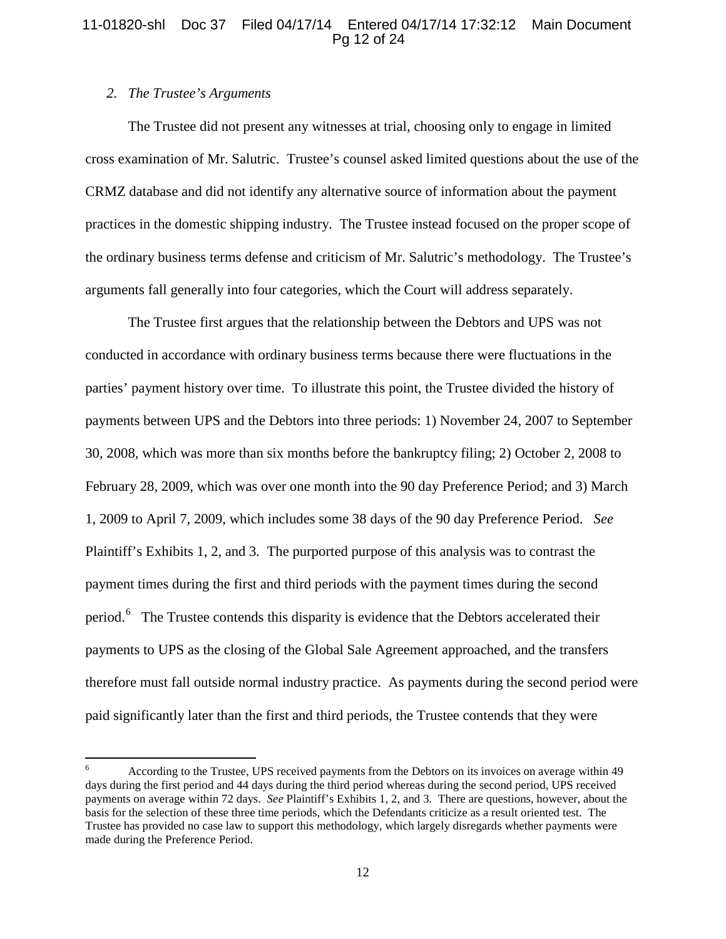# 11-01820-shl Doc 37 Filed 04/17/14 Entered 04/17/14 17:32:12 Main Document Pg 12 of 24

# *2. The Trustee's Arguments*

The Trustee did not present any witnesses at trial, choosing only to engage in limited cross examination of Mr. Salutric. Trustee's counsel asked limited questions about the use of the CRMZ database and did not identify any alternative source of information about the payment practices in the domestic shipping industry. The Trustee instead focused on the proper scope of the ordinary business terms defense and criticism of Mr. Salutric's methodology. The Trustee's arguments fall generally into four categories, which the Court will address separately.

The Trustee first argues that the relationship between the Debtors and UPS was not conducted in accordance with ordinary business terms because there were fluctuations in the parties' payment history over time. To illustrate this point, the Trustee divided the history of payments between UPS and the Debtors into three periods: 1) November 24, 2007 to September 30, 2008, which was more than six months before the bankruptcy filing; 2) October 2, 2008 to February 28, 2009, which was over one month into the 90 day Preference Period; and 3) March 1, 2009 to April 7, 2009, which includes some 38 days of the 90 day Preference Period. *See*  Plaintiff's Exhibits 1, 2, and 3*.* The purported purpose of this analysis was to contrast the payment times during the first and third periods with the payment times during the second period.<sup>[6](#page-11-0)</sup> The Trustee contends this disparity is evidence that the Debtors accelerated their payments to UPS as the closing of the Global Sale Agreement approached, and the transfers therefore must fall outside normal industry practice. As payments during the second period were paid significantly later than the first and third periods, the Trustee contends that they were

<span id="page-11-0"></span><sup>6</sup> According to the Trustee, UPS received payments from the Debtors on its invoices on average within 49 days during the first period and 44 days during the third period whereas during the second period, UPS received payments on average within 72 days. *See* Plaintiff's Exhibits 1, 2, and 3*.* There are questions, however, about the basis for the selection of these three time periods, which the Defendants criticize as a result oriented test. The Trustee has provided no case law to support this methodology, which largely disregards whether payments were made during the Preference Period.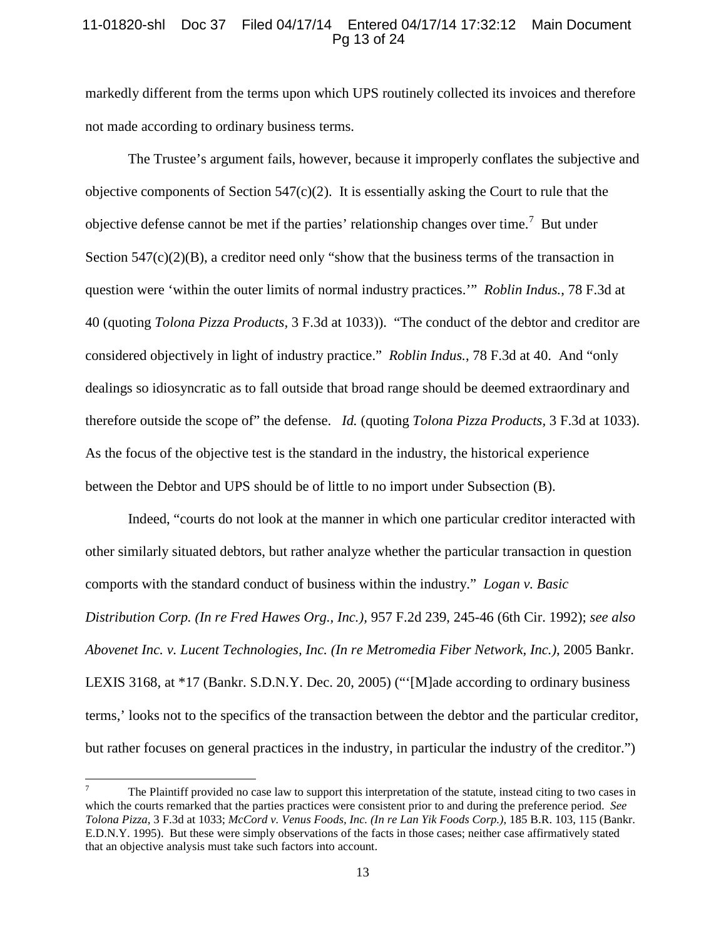# 11-01820-shl Doc 37 Filed 04/17/14 Entered 04/17/14 17:32:12 Main Document Pg 13 of 24

markedly different from the terms upon which UPS routinely collected its invoices and therefore not made according to ordinary business terms.

The Trustee's argument fails, however, because it improperly conflates the subjective and objective components of Section  $547(c)(2)$ . It is essentially asking the Court to rule that the objective defense cannot be met if the parties' relationship changes over time.<sup>[7](#page-12-0)</sup> But under Section  $547(c)(2)(B)$ , a creditor need only "show that the business terms of the transaction in question were 'within the outer limits of normal industry practices.'" *Roblin Indus.*, 78 F.3d at 40 (quoting *Tolona Pizza Products,* 3 F.3d at 1033)). "The conduct of the debtor and creditor are considered objectively in light of industry practice." *Roblin Indus.*, 78 F.3d at 40. And "only dealings so idiosyncratic as to fall outside that broad range should be deemed extraordinary and therefore outside the scope of" the defense. *Id.* (quoting *Tolona Pizza Products,* 3 F.3d at 1033). As the focus of the objective test is the standard in the industry, the historical experience between the Debtor and UPS should be of little to no import under Subsection (B).

Indeed, "courts do not look at the manner in which one particular creditor interacted with other similarly situated debtors, but rather analyze whether the particular transaction in question comports with the standard conduct of business within the industry." *Logan v. Basic Distribution Corp. (In re Fred Hawes Org., Inc.),* 957 F.2d 239, 245-46 (6th Cir. 1992); *see also Abovenet Inc. v. Lucent Technologies, Inc. (In re Metromedia Fiber Network, Inc.)*, 2005 Bankr. LEXIS 3168, at \*17 (Bankr. S.D.N.Y. Dec. 20, 2005) ("'[M]ade according to ordinary business terms,' looks not to the specifics of the transaction between the debtor and the particular creditor, but rather focuses on general practices in the industry, in particular the industry of the creditor.")

<span id="page-12-0"></span><sup>7</sup> The Plaintiff provided no case law to support this interpretation of the statute, instead citing to two cases in which the courts remarked that the parties practices were consistent prior to and during the preference period. *See Tolona Pizza*, 3 F.3d at 1033; *McCord v. Venus Foods, Inc. (In re Lan Yik Foods Corp.)*, 185 B.R. 103, 115 (Bankr. E.D.N.Y. 1995). But these were simply observations of the facts in those cases; neither case affirmatively stated that an objective analysis must take such factors into account.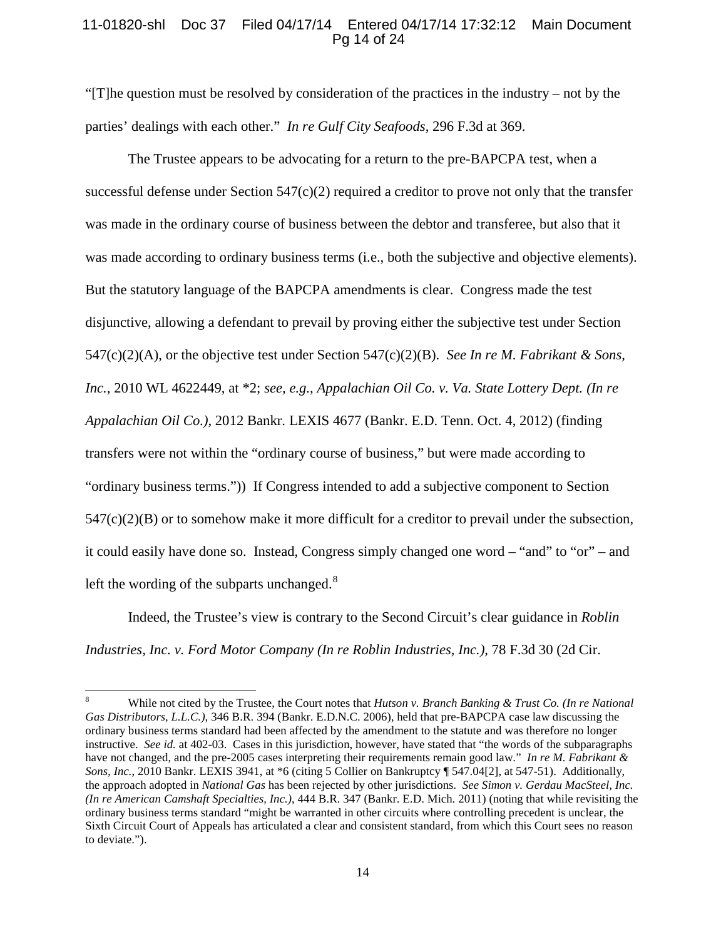# 11-01820-shl Doc 37 Filed 04/17/14 Entered 04/17/14 17:32:12 Main Document Pg 14 of 24

"[T]he question must be resolved by consideration of the practices in the industry – not by the parties' dealings with each other." *In re Gulf City Seafoods*, 296 F.3d at 369.

The Trustee appears to be advocating for a return to the pre-BAPCPA test, when a successful defense under Section  $547(c)(2)$  required a creditor to prove not only that the transfer was made in the ordinary course of business between the debtor and transferee, but also that it was made according to ordinary business terms (i.e., both the subjective and objective elements). But the statutory language of the BAPCPA amendments is clear. Congress made the test disjunctive, allowing a defendant to prevail by proving either the subjective test under Section 547(c)(2)(A), or the objective test under Section 547(c)(2)(B). *See In re M. Fabrikant & Sons, Inc.*, 2010 WL 4622449, at \*2; *see, e.g., Appalachian Oil Co. v. Va. State Lottery Dept. (In re Appalachian Oil Co.)*, 2012 Bankr. LEXIS 4677 (Bankr. E.D. Tenn. Oct. 4, 2012) (finding transfers were not within the "ordinary course of business," but were made according to "ordinary business terms.")) If Congress intended to add a subjective component to Section  $547(c)(2)(B)$  or to somehow make it more difficult for a creditor to prevail under the subsection, it could easily have done so. Instead, Congress simply changed one word – "and" to "or" – and left the wording of the subparts unchanged.<sup>[8](#page-13-0)</sup>

Indeed, the Trustee's view is contrary to the Second Circuit's clear guidance in *Roblin Industries, Inc. v. Ford Motor Company (In re Roblin Industries, Inc.)*, 78 F.3d 30 (2d Cir.

<span id="page-13-0"></span><sup>8</sup> While not cited by the Trustee, the Court notes that *Hutson v. Branch Banking & Trust Co. (In re National Gas Distributors, L.L.C.)*, 346 B.R. 394 (Bankr. E.D.N.C. 2006), held that pre-BAPCPA case law discussing the ordinary business terms standard had been affected by the amendment to the statute and was therefore no longer instructive. *See id.* at 402-03. Cases in this jurisdiction, however, have stated that "the words of the subparagraphs have not changed, and the pre-2005 cases interpreting their requirements remain good law." *In re M. Fabrikant & Sons, Inc.*, 2010 Bankr. LEXIS 3941, at \*6 (citing 5 Collier on Bankruptcy ¶ 547.04[2], at 547-51). Additionally, the approach adopted in *National Gas* has been rejected by other jurisdictions. *See Simon v. Gerdau MacSteel, Inc. (In re American Camshaft Specialties, Inc.)*, 444 B.R. 347 (Bankr. E.D. Mich. 2011) (noting that while revisiting the ordinary business terms standard "might be warranted in other circuits where controlling precedent is unclear, the Sixth Circuit Court of Appeals has articulated a clear and consistent standard, from which this Court sees no reason to deviate.").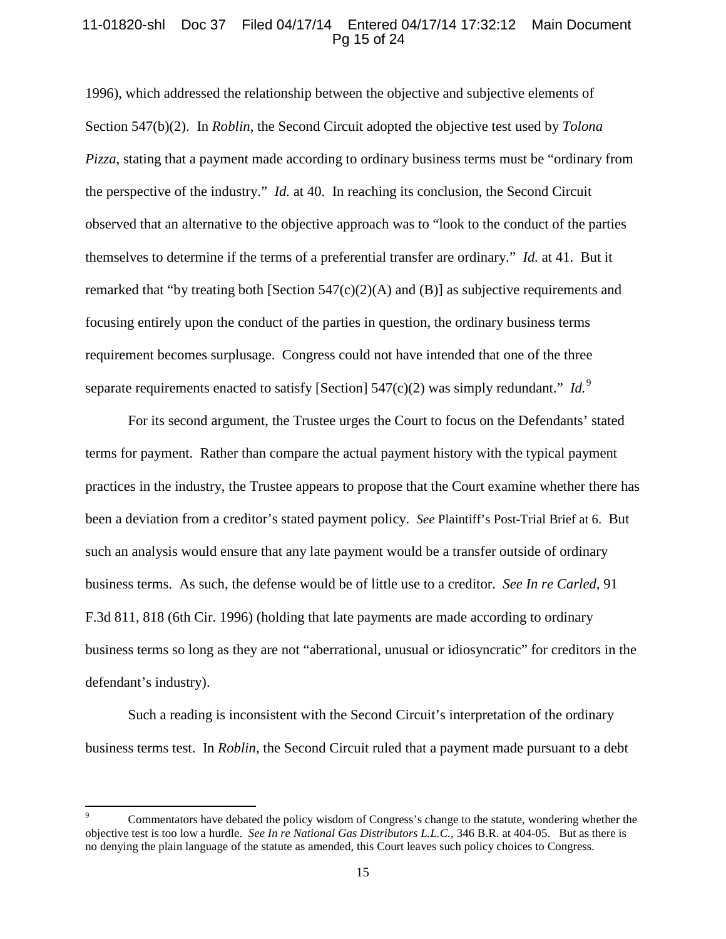# 11-01820-shl Doc 37 Filed 04/17/14 Entered 04/17/14 17:32:12 Main Document Pg 15 of 24

1996), which addressed the relationship between the objective and subjective elements of Section 547(b)(2). In *Roblin*, the Second Circuit adopted the objective test used by *Tolona Pizza*, stating that a payment made according to ordinary business terms must be "ordinary from the perspective of the industry." *Id.* at 40. In reaching its conclusion, the Second Circuit observed that an alternative to the objective approach was to "look to the conduct of the parties themselves to determine if the terms of a preferential transfer are ordinary." *Id.* at 41. But it remarked that "by treating both [Section 547(c)(2)(A) and (B)] as subjective requirements and focusing entirely upon the conduct of the parties in question, the ordinary business terms requirement becomes surplusage. Congress could not have intended that one of the three separate requirements enacted to satisfy [Section] 547(c)(2) was simply redundant." *Id.*<sup>[9](#page-14-0)</sup>

For its second argument, the Trustee urges the Court to focus on the Defendants' stated terms for payment. Rather than compare the actual payment history with the typical payment practices in the industry, the Trustee appears to propose that the Court examine whether there has been a deviation from a creditor's stated payment policy. *See* Plaintiff's Post-Trial Brief at 6. But such an analysis would ensure that any late payment would be a transfer outside of ordinary business terms. As such, the defense would be of little use to a creditor. *See In re Carled,* 91 F.3d 811, 818 (6th Cir. 1996) (holding that late payments are made according to ordinary business terms so long as they are not "aberrational, unusual or idiosyncratic" for creditors in the defendant's industry).

Such a reading is inconsistent with the Second Circuit's interpretation of the ordinary business terms test. In *Roblin*, the Second Circuit ruled that a payment made pursuant to a debt

<span id="page-14-0"></span><sup>9</sup> Commentators have debated the policy wisdom of Congress's change to the statute, wondering whether the objective test is too low a hurdle. *See In re National Gas Distributors L.L.C.*, 346 B.R. at 404-05. But as there is no denying the plain language of the statute as amended, this Court leaves such policy choices to Congress.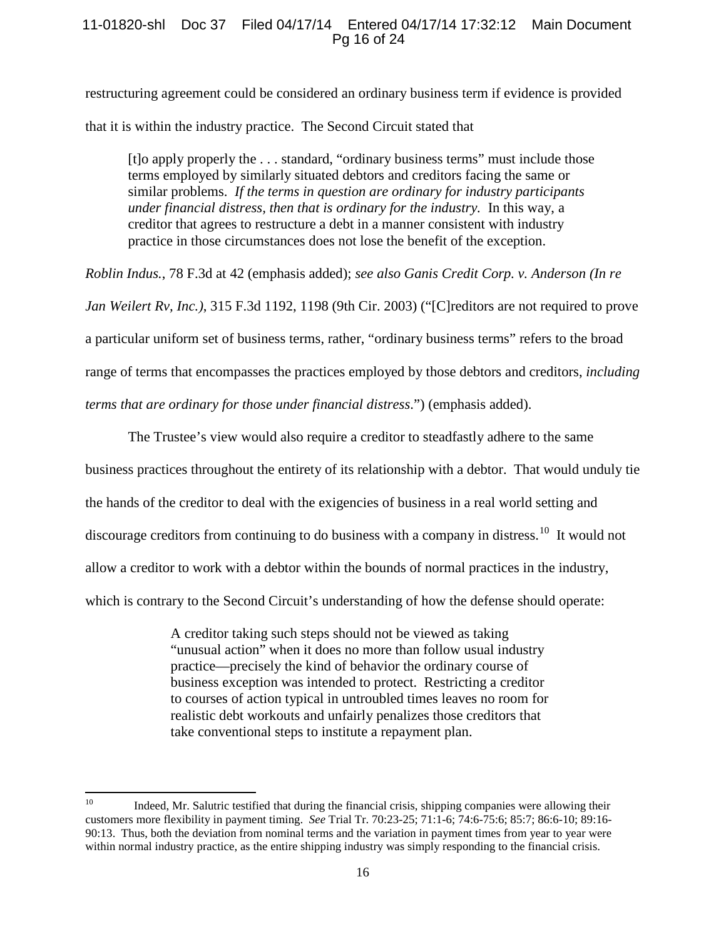# 11-01820-shl Doc 37 Filed 04/17/14 Entered 04/17/14 17:32:12 Main Document Pg 16 of 24

restructuring agreement could be considered an ordinary business term if evidence is provided that it is within the industry practice. The Second Circuit stated that

[t]o apply properly the . . . standard, "ordinary business terms" must include those terms employed by similarly situated debtors and creditors facing the same or similar problems. *If the terms in question are ordinary for industry participants under financial distress, then that is ordinary for the industry.* In this way, a creditor that agrees to restructure a debt in a manner consistent with industry practice in those circumstances does not lose the benefit of the exception.

*Roblin Indus.*, 78 F.3d at 42 (emphasis added); *see also Ganis Credit Corp. v. Anderson (In re Jan Weilert Rv, Inc.)*, 315 F.3d 1192, 1198 (9th Cir. 2003) ("[C]reditors are not required to prove a particular uniform set of business terms, rather, "ordinary business terms" refers to the broad range of terms that encompasses the practices employed by those debtors and creditors, *including terms that are ordinary for those under financial distress*.") (emphasis added).

The Trustee's view would also require a creditor to steadfastly adhere to the same business practices throughout the entirety of its relationship with a debtor. That would unduly tie the hands of the creditor to deal with the exigencies of business in a real world setting and discourage creditors from continuing to do business with a company in distress.<sup>[10](#page-15-0)</sup> It would not allow a creditor to work with a debtor within the bounds of normal practices in the industry, which is contrary to the Second Circuit's understanding of how the defense should operate:

> A creditor taking such steps should not be viewed as taking "unusual action" when it does no more than follow usual industry practice—precisely the kind of behavior the ordinary course of business exception was intended to protect. Restricting a creditor to courses of action typical in untroubled times leaves no room for realistic debt workouts and unfairly penalizes those creditors that take conventional steps to institute a repayment plan.

<span id="page-15-0"></span><sup>&</sup>lt;sup>10</sup> Indeed, Mr. Salutric testified that during the financial crisis, shipping companies were allowing their customers more flexibility in payment timing. *See* Trial Tr. 70:23-25; 71:1-6; 74:6-75:6; 85:7; 86:6-10; 89:16- 90:13. Thus, both the deviation from nominal terms and the variation in payment times from year to year were within normal industry practice, as the entire shipping industry was simply responding to the financial crisis.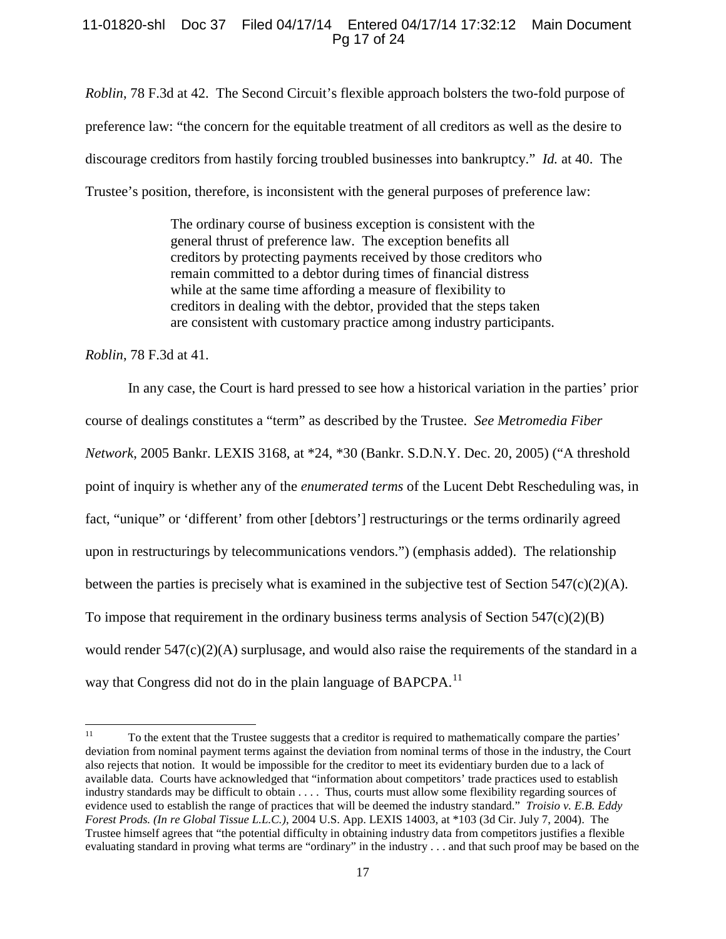# 11-01820-shl Doc 37 Filed 04/17/14 Entered 04/17/14 17:32:12 Main Document Pg 17 of 24

*Roblin*, 78 F.3d at 42. The Second Circuit's flexible approach bolsters the two-fold purpose of preference law: "the concern for the equitable treatment of all creditors as well as the desire to discourage creditors from hastily forcing troubled businesses into bankruptcy." *Id.* at 40. The Trustee's position, therefore, is inconsistent with the general purposes of preference law:

> The ordinary course of business exception is consistent with the general thrust of preference law. The exception benefits all creditors by protecting payments received by those creditors who remain committed to a debtor during times of financial distress while at the same time affording a measure of flexibility to creditors in dealing with the debtor, provided that the steps taken are consistent with customary practice among industry participants.

*Roblin*, 78 F.3d at 41.

In any case, the Court is hard pressed to see how a historical variation in the parties' prior course of dealings constitutes a "term" as described by the Trustee. *See Metromedia Fiber Network*, 2005 Bankr. LEXIS 3168, at \*24, \*30 (Bankr. S.D.N.Y. Dec. 20, 2005) ("A threshold point of inquiry is whether any of the *enumerated terms* of the Lucent Debt Rescheduling was, in fact, "unique" or 'different' from other [debtors'] restructurings or the terms ordinarily agreed upon in restructurings by telecommunications vendors.") (emphasis added). The relationship between the parties is precisely what is examined in the subjective test of Section 547(c)(2)(A). To impose that requirement in the ordinary business terms analysis of Section  $547(c)(2)(B)$ would render 547(c)(2)(A) surplusage, and would also raise the requirements of the standard in a way that Congress did not do in the plain language of BAPCPA.<sup>[11](#page-16-0)</sup>

<span id="page-16-0"></span><sup>&</sup>lt;sup>11</sup> To the extent that the Trustee suggests that a creditor is required to mathematically compare the parties' deviation from nominal payment terms against the deviation from nominal terms of those in the industry, the Court also rejects that notion. It would be impossible for the creditor to meet its evidentiary burden due to a lack of available data. Courts have acknowledged that "information about competitors' trade practices used to establish industry standards may be difficult to obtain . . . . Thus, courts must allow some flexibility regarding sources of evidence used to establish the range of practices that will be deemed the industry standard." *Troisio v. E.B. Eddy Forest Prods. (In re Global Tissue L.L.C.)*, 2004 U.S. App. LEXIS 14003, at \*103 (3d Cir. July 7, 2004). The Trustee himself agrees that "the potential difficulty in obtaining industry data from competitors justifies a flexible evaluating standard in proving what terms are "ordinary" in the industry . . . and that such proof may be based on the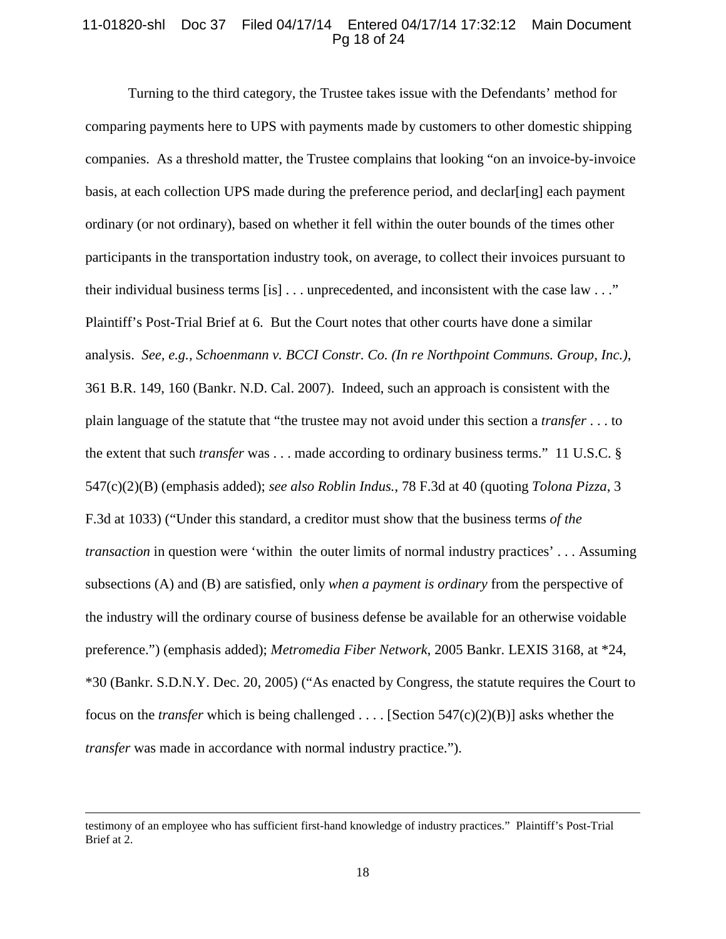# 11-01820-shl Doc 37 Filed 04/17/14 Entered 04/17/14 17:32:12 Main Document Pg 18 of 24

Turning to the third category, the Trustee takes issue with the Defendants' method for comparing payments here to UPS with payments made by customers to other domestic shipping companies. As a threshold matter, the Trustee complains that looking "on an invoice-by-invoice basis, at each collection UPS made during the preference period, and declar[ing] each payment ordinary (or not ordinary), based on whether it fell within the outer bounds of the times other participants in the transportation industry took, on average, to collect their invoices pursuant to their individual business terms [is] . . . unprecedented, and inconsistent with the case law . . ." Plaintiff's Post-Trial Brief at 6. But the Court notes that other courts have done a similar analysis. *See, e.g., Schoenmann v. BCCI Constr. Co. (In re Northpoint Communs. Group, Inc.)*, 361 B.R. 149, 160 (Bankr. N.D. Cal. 2007). Indeed, such an approach is consistent with the plain language of the statute that "the trustee may not avoid under this section a *transfer* . . . to the extent that such *transfer* was . . . made according to ordinary business terms." 11 U.S.C. § 547(c)(2)(B) (emphasis added); *see also Roblin Indus.*, 78 F.3d at 40 (quoting *Tolona Pizza*, 3 F.3d at 1033) ("Under this standard, a creditor must show that the business terms *of the transaction* in question were 'within the outer limits of normal industry practices' . . . Assuming subsections (A) and (B) are satisfied, only *when a payment is ordinary* from the perspective of the industry will the ordinary course of business defense be available for an otherwise voidable preference.") (emphasis added); *Metromedia Fiber Network*, 2005 Bankr. LEXIS 3168, at \*24, \*30 (Bankr. S.D.N.Y. Dec. 20, 2005) ("As enacted by Congress, the statute requires the Court to focus on the *transfer* which is being challenged . . . . [Section 547(c)(2)(B)] asks whether the *transfer* was made in accordance with normal industry practice.").

l

testimony of an employee who has sufficient first-hand knowledge of industry practices." Plaintiff's Post-Trial Brief at 2.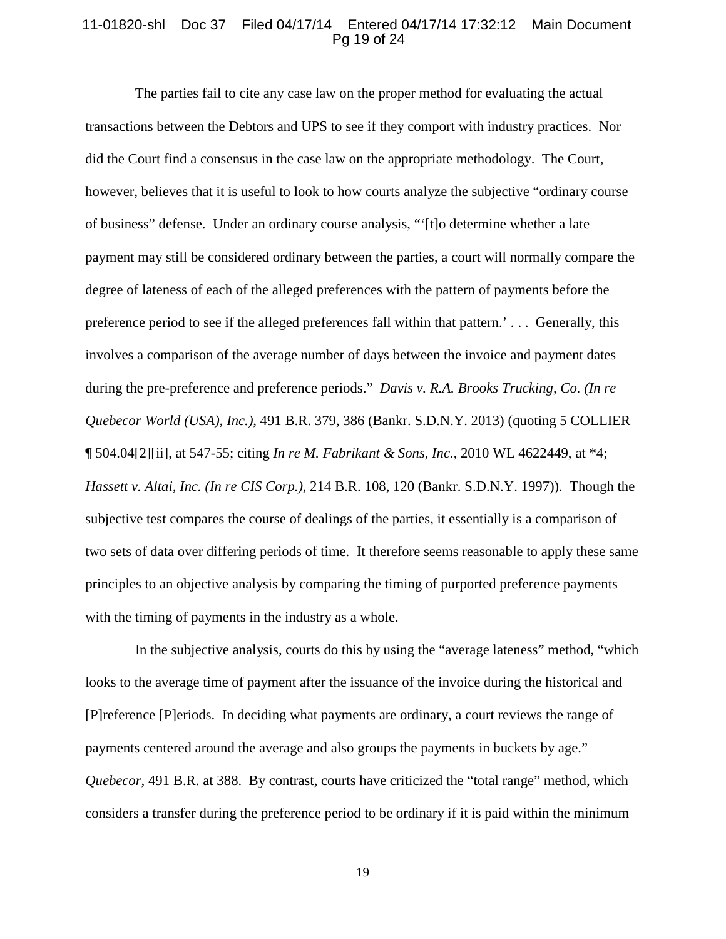#### 11-01820-shl Doc 37 Filed 04/17/14 Entered 04/17/14 17:32:12 Main Document Pg 19 of 24

The parties fail to cite any case law on the proper method for evaluating the actual transactions between the Debtors and UPS to see if they comport with industry practices. Nor did the Court find a consensus in the case law on the appropriate methodology. The Court, however, believes that it is useful to look to how courts analyze the subjective "ordinary course of business" defense. Under an ordinary course analysis, "'[t]o determine whether a late payment may still be considered ordinary between the parties, a court will normally compare the degree of lateness of each of the alleged preferences with the pattern of payments before the preference period to see if the alleged preferences fall within that pattern.' . . . Generally, this involves a comparison of the average number of days between the invoice and payment dates during the pre-preference and preference periods." *Davis v. R.A. Brooks Trucking, Co. (In re Quebecor World (USA), Inc.)*, 491 B.R. 379, 386 (Bankr. S.D.N.Y. 2013) (quoting 5 COLLIER ¶ 504.04[2][ii], at 547-55; citing *In re M. Fabrikant & Sons, Inc.*, 2010 WL 4622449, at \*4; *Hassett v. Altai, Inc. (In re CIS Corp.)*, 214 B.R. 108, 120 (Bankr. S.D.N.Y. 1997)). Though the subjective test compares the course of dealings of the parties, it essentially is a comparison of two sets of data over differing periods of time. It therefore seems reasonable to apply these same principles to an objective analysis by comparing the timing of purported preference payments with the timing of payments in the industry as a whole.

 In the subjective analysis, courts do this by using the "average lateness" method, "which looks to the average time of payment after the issuance of the invoice during the historical and [P]reference [P]eriods. In deciding what payments are ordinary, a court reviews the range of payments centered around the average and also groups the payments in buckets by age." *Quebecor*, 491 B.R. at 388. By contrast, courts have criticized the "total range" method, which considers a transfer during the preference period to be ordinary if it is paid within the minimum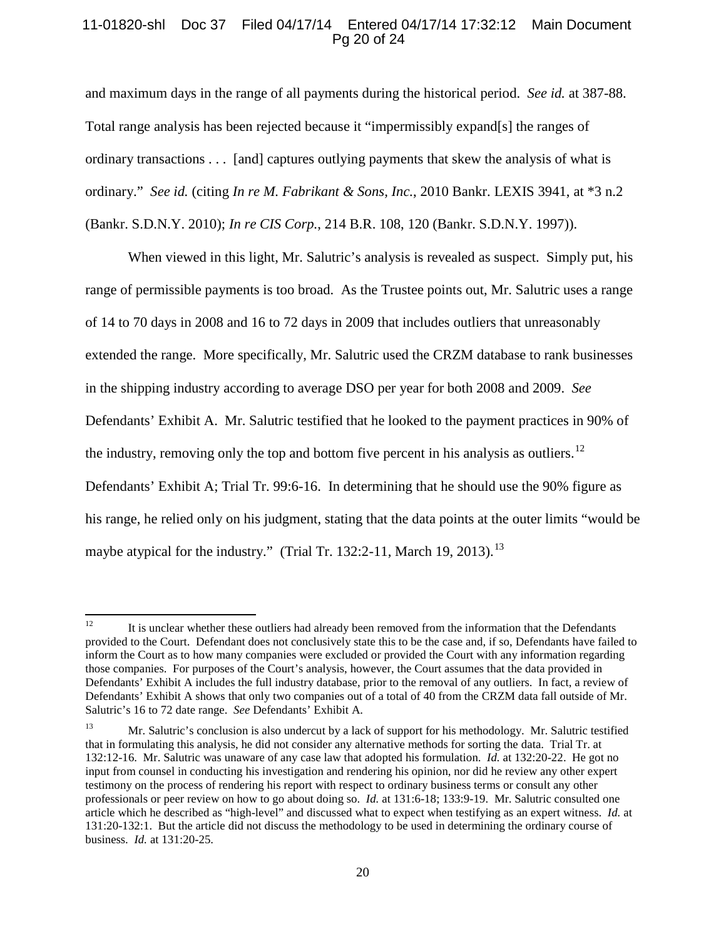# 11-01820-shl Doc 37 Filed 04/17/14 Entered 04/17/14 17:32:12 Main Document Pg 20 of 24

and maximum days in the range of all payments during the historical period. *See id.* at 387-88. Total range analysis has been rejected because it "impermissibly expand[s] the ranges of ordinary transactions . . . [and] captures outlying payments that skew the analysis of what is ordinary." *See id.* (citing *In re M. Fabrikant & Sons, Inc.*, 2010 Bankr. LEXIS 3941, at \*3 n.2 (Bankr. S.D.N.Y. 2010); *In re CIS Corp.*, 214 B.R. 108, 120 (Bankr. S.D.N.Y. 1997)).

When viewed in this light, Mr. Salutric's analysis is revealed as suspect. Simply put, his range of permissible payments is too broad. As the Trustee points out, Mr. Salutric uses a range of 14 to 70 days in 2008 and 16 to 72 days in 2009 that includes outliers that unreasonably extended the range. More specifically, Mr. Salutric used the CRZM database to rank businesses in the shipping industry according to average DSO per year for both 2008 and 2009. *See* Defendants' Exhibit A. Mr. Salutric testified that he looked to the payment practices in 90% of the industry, removing only the top and bottom five percent in his analysis as outliers.<sup>[12](#page-19-0)</sup> Defendants' Exhibit A; Trial Tr. 99:6-16. In determining that he should use the 90% figure as his range, he relied only on his judgment, stating that the data points at the outer limits "would be maybe atypical for the industry." (Trial Tr. [13](#page-19-1)2:2-11, March 19, 2013).<sup>13</sup>

<span id="page-19-0"></span><sup>&</sup>lt;sup>12</sup> It is unclear whether these outliers had already been removed from the information that the Defendants provided to the Court. Defendant does not conclusively state this to be the case and, if so, Defendants have failed to inform the Court as to how many companies were excluded or provided the Court with any information regarding those companies. For purposes of the Court's analysis, however, the Court assumes that the data provided in Defendants' Exhibit A includes the full industry database, prior to the removal of any outliers. In fact, a review of Defendants' Exhibit A shows that only two companies out of a total of 40 from the CRZM data fall outside of Mr. Salutric's 16 to 72 date range. *See* Defendants' Exhibit A.

<span id="page-19-1"></span><sup>&</sup>lt;sup>13</sup> Mr. Salutric's conclusion is also undercut by a lack of support for his methodology. Mr. Salutric testified that in formulating this analysis, he did not consider any alternative methods for sorting the data. Trial Tr. at 132:12-16. Mr. Salutric was unaware of any case law that adopted his formulation. *Id.* at 132:20-22. He got no input from counsel in conducting his investigation and rendering his opinion, nor did he review any other expert testimony on the process of rendering his report with respect to ordinary business terms or consult any other professionals or peer review on how to go about doing so. *Id.* at 131:6-18; 133:9-19. Mr. Salutric consulted one article which he described as "high-level" and discussed what to expect when testifying as an expert witness. *Id.* at 131:20-132:1. But the article did not discuss the methodology to be used in determining the ordinary course of business. *Id.* at 131:20-25.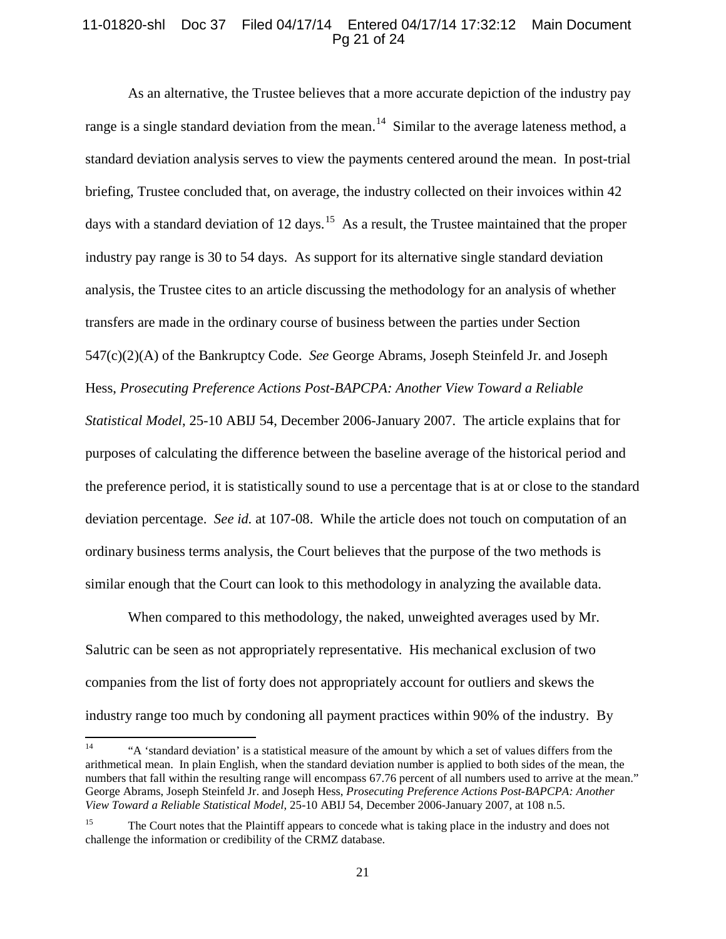# 11-01820-shl Doc 37 Filed 04/17/14 Entered 04/17/14 17:32:12 Main Document Pg 21 of 24

As an alternative, the Trustee believes that a more accurate depiction of the industry pay range is a single standard deviation from the mean.<sup>14</sup> Similar to the average lateness method, a standard deviation analysis serves to view the payments centered around the mean. In post-trial briefing, Trustee concluded that, on average, the industry collected on their invoices within 42 days with a standard deviation of 12 days.<sup>15</sup> As a result, the Trustee maintained that the proper industry pay range is 30 to 54 days. As support for its alternative single standard deviation analysis, the Trustee cites to an article discussing the methodology for an analysis of whether transfers are made in the ordinary course of business between the parties under Section 547(c)(2)(A) of the Bankruptcy Code. *See* George Abrams, Joseph Steinfeld Jr. and Joseph Hess, *Prosecuting Preference Actions Post-BAPCPA: Another View Toward a Reliable Statistical Model*, 25-10 ABIJ 54, December 2006-January 2007. The article explains that for purposes of calculating the difference between the baseline average of the historical period and the preference period, it is statistically sound to use a percentage that is at or close to the standard deviation percentage. *See id.* at 107-08. While the article does not touch on computation of an ordinary business terms analysis, the Court believes that the purpose of the two methods is similar enough that the Court can look to this methodology in analyzing the available data.

When compared to this methodology, the naked, unweighted averages used by Mr. Salutric can be seen as not appropriately representative. His mechanical exclusion of two companies from the list of forty does not appropriately account for outliers and skews the industry range too much by condoning all payment practices within 90% of the industry. By

<span id="page-20-0"></span><sup>&</sup>lt;sup>14</sup> "A 'standard deviation' is a statistical measure of the amount by which a set of values differs from the arithmetical mean. In plain English, when the standard deviation number is applied to both sides of the mean, the numbers that fall within the resulting range will encompass 67.76 percent of all numbers used to arrive at the mean." George Abrams, Joseph Steinfeld Jr. and Joseph Hess, *Prosecuting Preference Actions Post-BAPCPA: Another View Toward a Reliable Statistical Model*, 25-10 ABIJ 54, December 2006-January 2007, at 108 n.5.

<span id="page-20-1"></span><sup>&</sup>lt;sup>15</sup> The Court notes that the Plaintiff appears to concede what is taking place in the industry and does not challenge the information or credibility of the CRMZ database.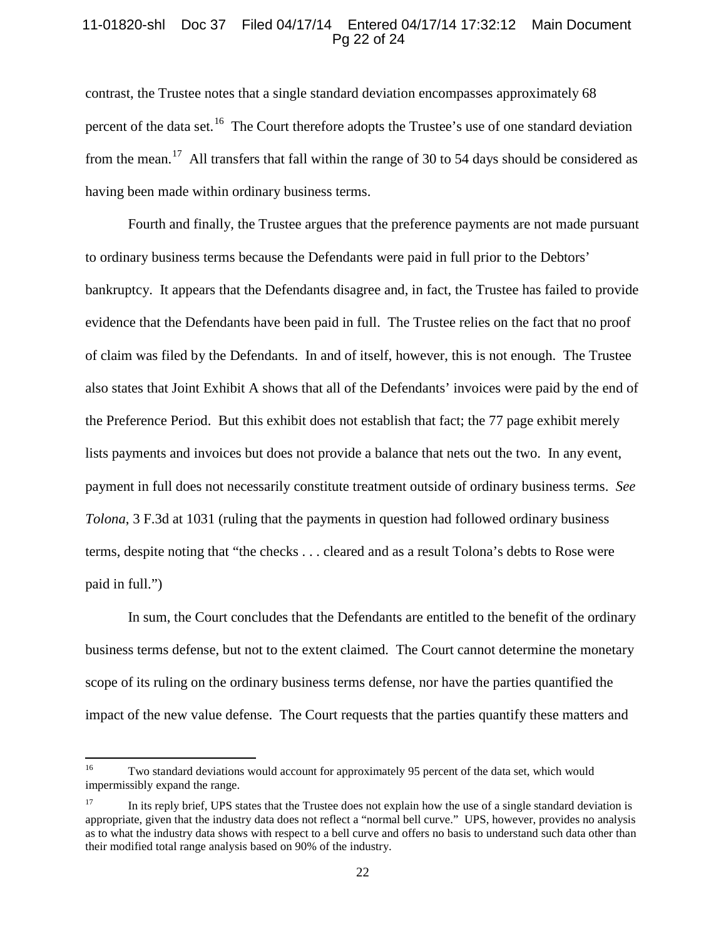# 11-01820-shl Doc 37 Filed 04/17/14 Entered 04/17/14 17:32:12 Main Document Pg 22 of 24

contrast, the Trustee notes that a single standard deviation encompasses approximately 68 percent of the data set.<sup>[16](#page-21-0)</sup> The Court therefore adopts the Trustee's use of one standard deviation from the mean.<sup>17</sup> All transfers that fall within the range of 30 to 54 days should be considered as having been made within ordinary business terms.

Fourth and finally, the Trustee argues that the preference payments are not made pursuant to ordinary business terms because the Defendants were paid in full prior to the Debtors' bankruptcy. It appears that the Defendants disagree and, in fact, the Trustee has failed to provide evidence that the Defendants have been paid in full. The Trustee relies on the fact that no proof of claim was filed by the Defendants. In and of itself, however, this is not enough. The Trustee also states that Joint Exhibit A shows that all of the Defendants' invoices were paid by the end of the Preference Period. But this exhibit does not establish that fact; the 77 page exhibit merely lists payments and invoices but does not provide a balance that nets out the two. In any event, payment in full does not necessarily constitute treatment outside of ordinary business terms. *See Tolona*, 3 F.3d at 1031 (ruling that the payments in question had followed ordinary business terms, despite noting that "the checks . . . cleared and as a result Tolona's debts to Rose were paid in full.")

In sum, the Court concludes that the Defendants are entitled to the benefit of the ordinary business terms defense, but not to the extent claimed. The Court cannot determine the monetary scope of its ruling on the ordinary business terms defense, nor have the parties quantified the impact of the new value defense. The Court requests that the parties quantify these matters and

<span id="page-21-0"></span><sup>&</sup>lt;sup>16</sup> Two standard deviations would account for approximately 95 percent of the data set, which would impermissibly expand the range.

<span id="page-21-1"></span><sup>&</sup>lt;sup>17</sup> In its reply brief, UPS states that the Trustee does not explain how the use of a single standard deviation is appropriate, given that the industry data does not reflect a "normal bell curve." UPS, however, provides no analysis as to what the industry data shows with respect to a bell curve and offers no basis to understand such data other than their modified total range analysis based on 90% of the industry.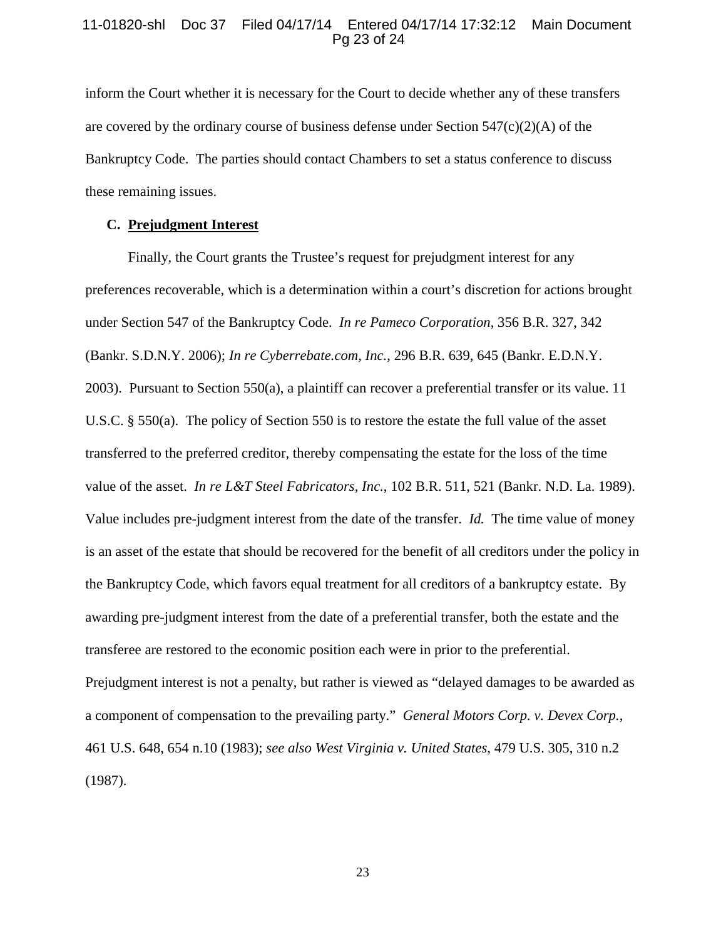### 11-01820-shl Doc 37 Filed 04/17/14 Entered 04/17/14 17:32:12 Main Document Pg 23 of 24

inform the Court whether it is necessary for the Court to decide whether any of these transfers are covered by the ordinary course of business defense under Section  $547(c)(2)(A)$  of the Bankruptcy Code. The parties should contact Chambers to set a status conference to discuss these remaining issues.

# **C. Prejudgment Interest**

Finally, the Court grants the Trustee's request for prejudgment interest for any preferences recoverable, which is a determination within a court's discretion for actions brought under Section 547 of the Bankruptcy Code. *In re Pameco Corporation*, 356 B.R. 327, 342 (Bankr. S.D.N.Y. 2006); *In re Cyberrebate.com, Inc.*, 296 B.R. 639, 645 (Bankr. E.D.N.Y. 2003). Pursuant to Section 550(a), a plaintiff can recover a preferential transfer or its value. 11 U.S.C. § 550(a). The policy of Section 550 is to restore the estate the full value of the asset transferred to the preferred creditor, thereby compensating the estate for the loss of the time value of the asset. *In re L&T Steel Fabricators, Inc.*, 102 B.R. 511, 521 (Bankr. N.D. La. 1989). Value includes pre-judgment interest from the date of the transfer. *Id.* The time value of money is an asset of the estate that should be recovered for the benefit of all creditors under the policy in the Bankruptcy Code, which favors equal treatment for all creditors of a bankruptcy estate. By awarding pre-judgment interest from the date of a preferential transfer, both the estate and the transferee are restored to the economic position each were in prior to the preferential. Prejudgment interest is not a penalty, but rather is viewed as "delayed damages to be awarded as a component of compensation to the prevailing party." *General Motors Corp. v. Devex Corp.*, 461 U.S. 648, 654 n.10 (1983); *see also West Virginia v. United States*, 479 U.S. 305, 310 n.2 (1987).